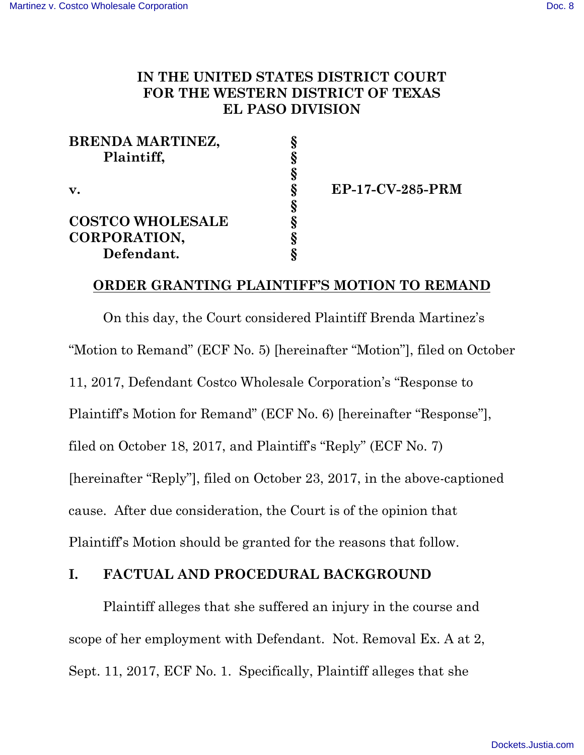# **IN THE UNITED STATES DISTRICT COURT FOR THE WESTERN DISTRICT OF TEXAS EL PASO DIVISION**

| <b>BRENDA MARTINEZ,</b> | Ş |
|-------------------------|---|
| Plaintiff,              | Ş |
|                         | Ş |
| $\mathbf{v}$ .          | Ş |
|                         | Ş |
| <b>COSTCO WHOLESALE</b> | Ş |
| <b>CORPORATION,</b>     | Ş |
| Defendant.              |   |

**EP-17-CV-285-PRM**

# **ORDER GRANTING PLAINTIFF'S MOTION TO REMAND**

On this day, the Court considered Plaintiff Brenda Martinez's "Motion to Remand" (ECF No. 5) [hereinafter "Motion"], filed on October 11, 2017, Defendant Costco Wholesale Corporation's "Response to Plaintiff's Motion for Remand" (ECF No. 6) [hereinafter "Response"], filed on October 18, 2017, and Plaintiff's "Reply" (ECF No. 7) [hereinafter "Reply"], filed on October 23, 2017, in the above-captioned cause. After due consideration, the Court is of the opinion that Plaintiff's Motion should be granted for the reasons that follow.

# **I. FACTUAL AND PROCEDURAL BACKGROUND**

Plaintiff alleges that she suffered an injury in the course and scope of her employment with Defendant. Not. Removal Ex. A at 2, Sept. 11, 2017, ECF No. 1. Specifically, Plaintiff alleges that she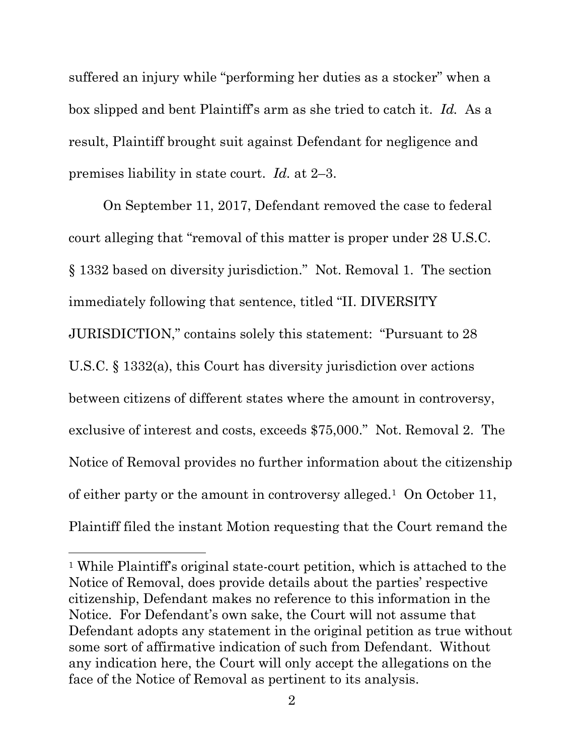suffered an injury while "performing her duties as a stocker" when a box slipped and bent Plaintiff's arm as she tried to catch it. *Id.* As a result, Plaintiff brought suit against Defendant for negligence and premises liability in state court. *Id.* at 2–3.

On September 11, 2017, Defendant removed the case to federal court alleging that "removal of this matter is proper under 28 U.S.C. § 1332 based on diversity jurisdiction." Not. Removal 1. The section immediately following that sentence, titled "II. DIVERSITY JURISDICTION," contains solely this statement: "Pursuant to 28 U.S.C. § 1332(a), this Court has diversity jurisdiction over actions between citizens of different states where the amount in controversy, exclusive of interest and costs, exceeds \$75,000." Not. Removal 2. The Notice of Removal provides no further information about the citizenship of either party or the amount in controversy alleged.1 On October 11, Plaintiff filed the instant Motion requesting that the Court remand the

 $\overline{a}$ 

<sup>1</sup> While Plaintiff's original state-court petition, which is attached to the Notice of Removal, does provide details about the parties' respective citizenship, Defendant makes no reference to this information in the Notice. For Defendant's own sake, the Court will not assume that Defendant adopts any statement in the original petition as true without some sort of affirmative indication of such from Defendant. Without any indication here, the Court will only accept the allegations on the face of the Notice of Removal as pertinent to its analysis.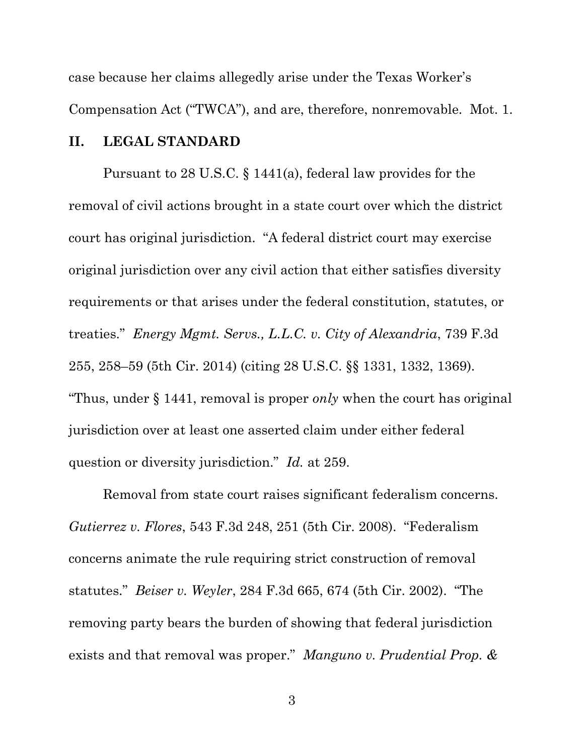case because her claims allegedly arise under the Texas Worker's Compensation Act ("TWCA"), and are, therefore, nonremovable. Mot. 1.

# **II. LEGAL STANDARD**

Pursuant to 28 U.S.C. § 1441(a), federal law provides for the removal of civil actions brought in a state court over which the district court has original jurisdiction. "A federal district court may exercise original jurisdiction over any civil action that either satisfies diversity requirements or that arises under the federal constitution, statutes, or treaties." *Energy Mgmt. Servs., L.L.C. v. City of Alexandria*, 739 F.3d 255, 258–59 (5th Cir. 2014) (citing 28 U.S.C. §§ 1331, 1332, 1369). "Thus, under § 1441, removal is proper *only* when the court has original jurisdiction over at least one asserted claim under either federal question or diversity jurisdiction." *Id.* at 259.

Removal from state court raises significant federalism concerns. *Gutierrez v. Flores*, 543 F.3d 248, 251 (5th Cir. 2008). "Federalism concerns animate the rule requiring strict construction of removal statutes." *Beiser v. Weyler*, 284 F.3d 665, 674 (5th Cir. 2002). "The removing party bears the burden of showing that federal jurisdiction exists and that removal was proper." *Manguno v. Prudential Prop. &*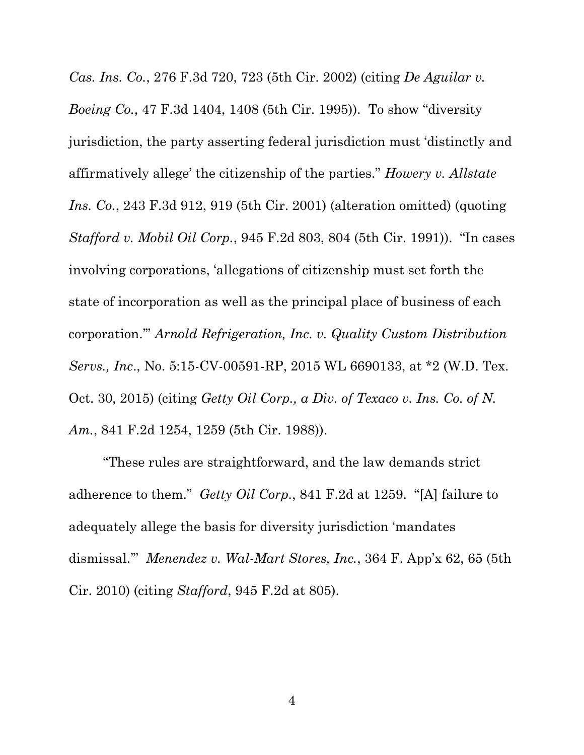*Cas. Ins. Co.*, 276 F.3d 720, 723 (5th Cir. 2002) (citing *De Aguilar v. Boeing Co.*, 47 F.3d 1404, 1408 (5th Cir. 1995)). To show "diversity jurisdiction, the party asserting federal jurisdiction must 'distinctly and affirmatively allege' the citizenship of the parties." *Howery v. Allstate Ins. Co.*, 243 F.3d 912, 919 (5th Cir. 2001) (alteration omitted) (quoting *Stafford v. Mobil Oil Corp.*, 945 F.2d 803, 804 (5th Cir. 1991)). "In cases involving corporations, 'allegations of citizenship must set forth the state of incorporation as well as the principal place of business of each corporation.'" *Arnold Refrigeration, Inc. v. Quality Custom Distribution Servs., Inc*., No. 5:15-CV-00591-RP, 2015 WL 6690133, at \*2 (W.D. Tex. Oct. 30, 2015) (citing *Getty Oil Corp., a Div. of Texaco v. Ins. Co. of N. Am.*, 841 F.2d 1254, 1259 (5th Cir. 1988)).

"These rules are straightforward, and the law demands strict adherence to them." *Getty Oil Corp.*, 841 F.2d at 1259. "[A] failure to adequately allege the basis for diversity jurisdiction 'mandates dismissal.'" *Menendez v. Wal-Mart Stores, Inc.*, 364 F. App'x 62, 65 (5th Cir. 2010) (citing *Stafford*, 945 F.2d at 805).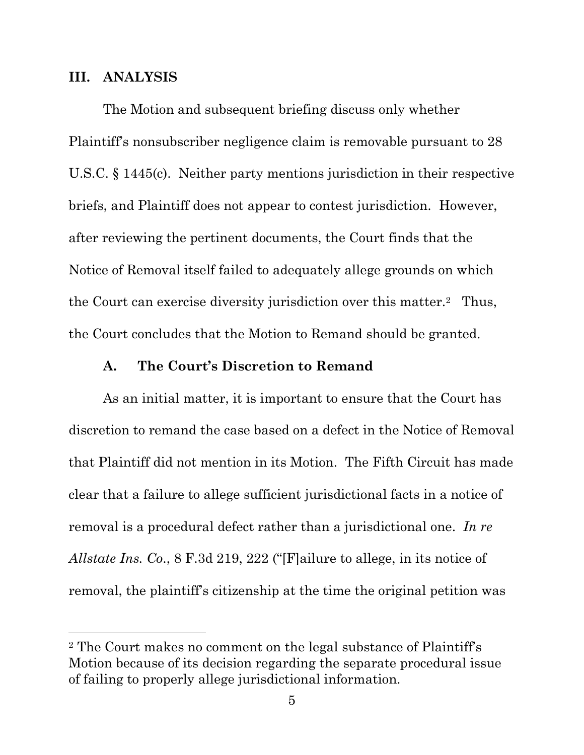#### **III. ANALYSIS**

 $\overline{\phantom{a}}$ 

The Motion and subsequent briefing discuss only whether Plaintiff's nonsubscriber negligence claim is removable pursuant to 28 U.S.C. § 1445(c). Neither party mentions jurisdiction in their respective briefs, and Plaintiff does not appear to contest jurisdiction. However, after reviewing the pertinent documents, the Court finds that the Notice of Removal itself failed to adequately allege grounds on which the Court can exercise diversity jurisdiction over this matter.<sup>2</sup> Thus, the Court concludes that the Motion to Remand should be granted.

### **A. The Court's Discretion to Remand**

As an initial matter, it is important to ensure that the Court has discretion to remand the case based on a defect in the Notice of Removal that Plaintiff did not mention in its Motion. The Fifth Circuit has made clear that a failure to allege sufficient jurisdictional facts in a notice of removal is a procedural defect rather than a jurisdictional one. *In re Allstate Ins. Co*., 8 F.3d 219, 222 ("[F]ailure to allege, in its notice of removal, the plaintiff's citizenship at the time the original petition was

<sup>2</sup> The Court makes no comment on the legal substance of Plaintiff's Motion because of its decision regarding the separate procedural issue of failing to properly allege jurisdictional information.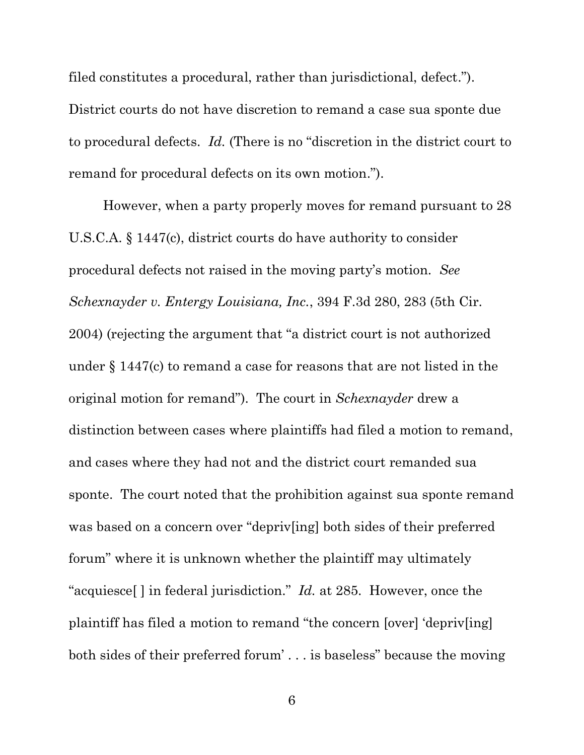filed constitutes a procedural, rather than jurisdictional, defect."). District courts do not have discretion to remand a case sua sponte due to procedural defects. *Id.* (There is no "discretion in the district court to remand for procedural defects on its own motion.").

However, when a party properly moves for remand pursuant to 28 U.S.C.A. § 1447(c), district courts do have authority to consider procedural defects not raised in the moving party's motion. *See Schexnayder v. Entergy Louisiana, Inc.*, 394 F.3d 280, 283 (5th Cir. 2004) (rejecting the argument that "a district court is not authorized under § 1447(c) to remand a case for reasons that are not listed in the original motion for remand"). The court in *Schexnayder* drew a distinction between cases where plaintiffs had filed a motion to remand, and cases where they had not and the district court remanded sua sponte. The court noted that the prohibition against sua sponte remand was based on a concern over "depriv[ing] both sides of their preferred forum" where it is unknown whether the plaintiff may ultimately "acquiesce[ ] in federal jurisdiction." *Id.* at 285. However, once the plaintiff has filed a motion to remand "the concern [over] 'depriv[ing] both sides of their preferred forum' . . . is baseless" because the moving

6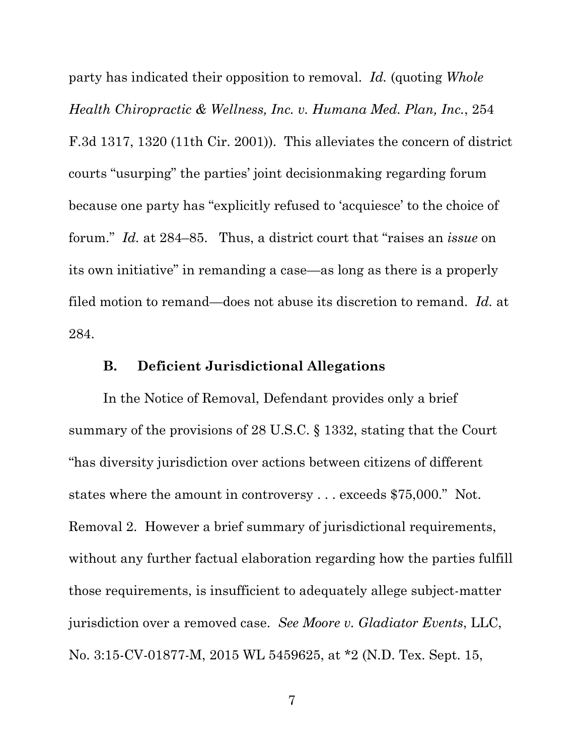party has indicated their opposition to removal. *Id.* (quoting *Whole Health Chiropractic & Wellness, Inc. v. Humana Med. Plan, Inc.*, 254 F.3d 1317, 1320 (11th Cir. 2001)). This alleviates the concern of district courts "usurping" the parties' joint decisionmaking regarding forum because one party has "explicitly refused to 'acquiesce' to the choice of forum." *Id.* at 284–85. Thus, a district court that "raises an *issue* on its own initiative" in remanding a case—as long as there is a properly filed motion to remand—does not abuse its discretion to remand. *Id.* at 284.

#### **B. Deficient Jurisdictional Allegations**

In the Notice of Removal, Defendant provides only a brief summary of the provisions of 28 U.S.C. § 1332, stating that the Court "has diversity jurisdiction over actions between citizens of different states where the amount in controversy . . . exceeds \$75,000." Not. Removal 2. However a brief summary of jurisdictional requirements, without any further factual elaboration regarding how the parties fulfill those requirements, is insufficient to adequately allege subject-matter jurisdiction over a removed case. *See Moore v. Gladiator Events*, LLC, No. 3:15-CV-01877-M, 2015 WL 5459625, at \*2 (N.D. Tex. Sept. 15,

7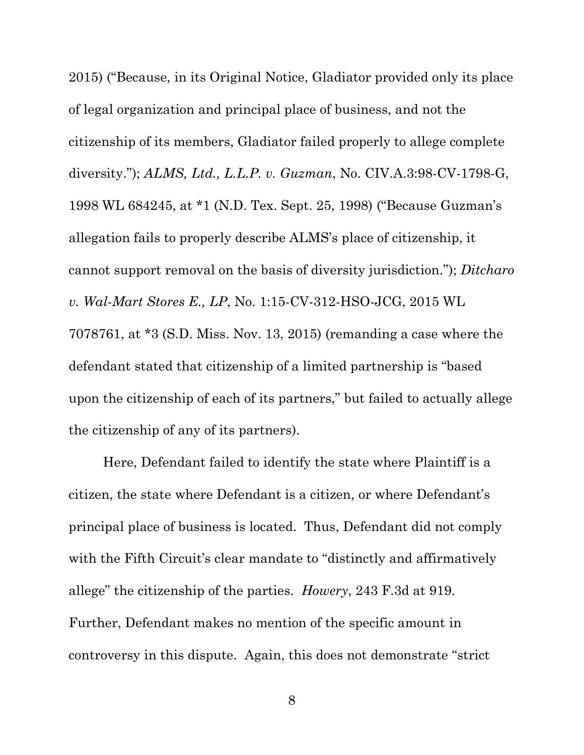2015) ("Because, in its Original Notice, Gladiator provided only its place of legal organization and principal place of business, and not the citizenship of its members, Gladiator failed properly to allege complete diversity."); *ALMS, Ltd., L.L.P. v. Guzman*, No. CIV.A.3:98-CV-1798-G, 1998 WL 684245, at \*1 (N.D. Tex. Sept. 25, 1998) ("Because Guzman's allegation fails to properly describe ALMS's place of citizenship, it cannot support removal on the basis of diversity jurisdiction."); *Ditcharo v. Wal-Mart Stores E., LP*, No. 1:15-CV-312-HSO-JCG, 2015 WL 7078761, at \*3 (S.D. Miss. Nov. 13, 2015) (remanding a case where the defendant stated that citizenship of a limited partnership is "based upon the citizenship of each of its partners," but failed to actually allege the citizenship of any of its partners).

Here, Defendant failed to identify the state where Plaintiff is a citizen, the state where Defendant is a citizen, or where Defendant's principal place of business is located. Thus, Defendant did not comply with the Fifth Circuit's clear mandate to "distinctly and affirmatively allege" the citizenship of the parties. *Howery*, 243 F.3d at 919. Further, Defendant makes no mention of the specific amount in controversy in this dispute. Again, this does not demonstrate "strict

8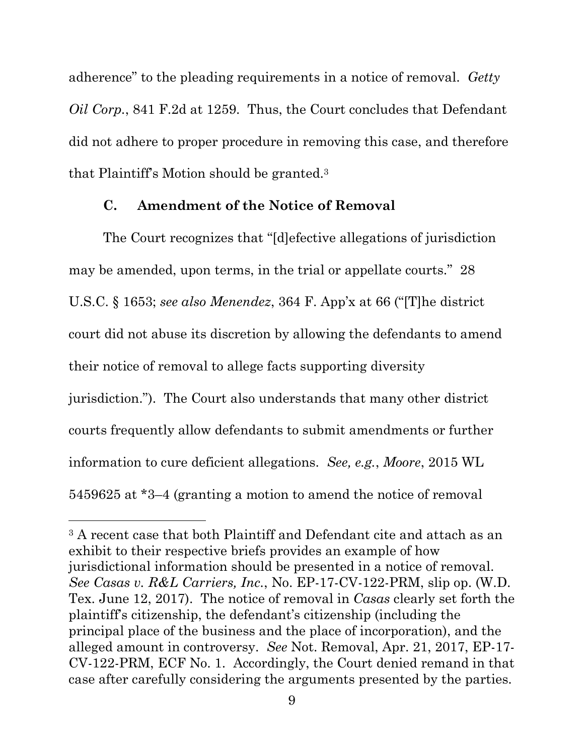adherence" to the pleading requirements in a notice of removal. *Getty Oil Corp.*, 841 F.2d at 1259. Thus, the Court concludes that Defendant did not adhere to proper procedure in removing this case, and therefore that Plaintiff's Motion should be granted.<sup>3</sup>

# **C. Amendment of the Notice of Removal**

The Court recognizes that "[d]efective allegations of jurisdiction may be amended, upon terms, in the trial or appellate courts." 28 U.S.C. § 1653; *see also Menendez*, 364 F. App'x at 66 ("[T]he district court did not abuse its discretion by allowing the defendants to amend their notice of removal to allege facts supporting diversity jurisdiction."). The Court also understands that many other district courts frequently allow defendants to submit amendments or further information to cure deficient allegations. *See, e.g.*, *Moore*, 2015 WL 5459625 at \*3–4 (granting a motion to amend the notice of removal

l

<sup>&</sup>lt;sup>3</sup> A recent case that both Plaintiff and Defendant cite and attach as an exhibit to their respective briefs provides an example of how jurisdictional information should be presented in a notice of removal. *See Casas v. R&L Carriers, Inc.*, No. EP-17-CV-122-PRM, slip op. (W.D. Tex. June 12, 2017). The notice of removal in *Casas* clearly set forth the plaintiff's citizenship, the defendant's citizenship (including the principal place of the business and the place of incorporation), and the alleged amount in controversy. *See* Not. Removal, Apr. 21, 2017, EP-17- CV-122-PRM, ECF No. 1. Accordingly, the Court denied remand in that case after carefully considering the arguments presented by the parties.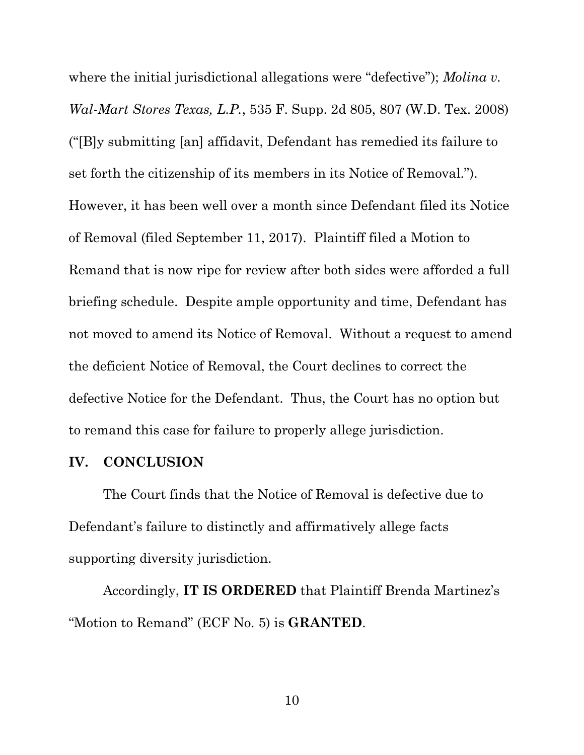where the initial jurisdictional allegations were "defective"); *Molina v. Wal-Mart Stores Texas, L.P.*, 535 F. Supp. 2d 805, 807 (W.D. Tex. 2008) ("[B]y submitting [an] affidavit, Defendant has remedied its failure to set forth the citizenship of its members in its Notice of Removal."). However, it has been well over a month since Defendant filed its Notice of Removal (filed September 11, 2017). Plaintiff filed a Motion to Remand that is now ripe for review after both sides were afforded a full briefing schedule. Despite ample opportunity and time, Defendant has not moved to amend its Notice of Removal. Without a request to amend the deficient Notice of Removal, the Court declines to correct the defective Notice for the Defendant. Thus, the Court has no option but to remand this case for failure to properly allege jurisdiction.

# **IV. CONCLUSION**

The Court finds that the Notice of Removal is defective due to Defendant's failure to distinctly and affirmatively allege facts supporting diversity jurisdiction.

Accordingly, **IT IS ORDERED** that Plaintiff Brenda Martinez's "Motion to Remand" (ECF No. 5) is **GRANTED**.